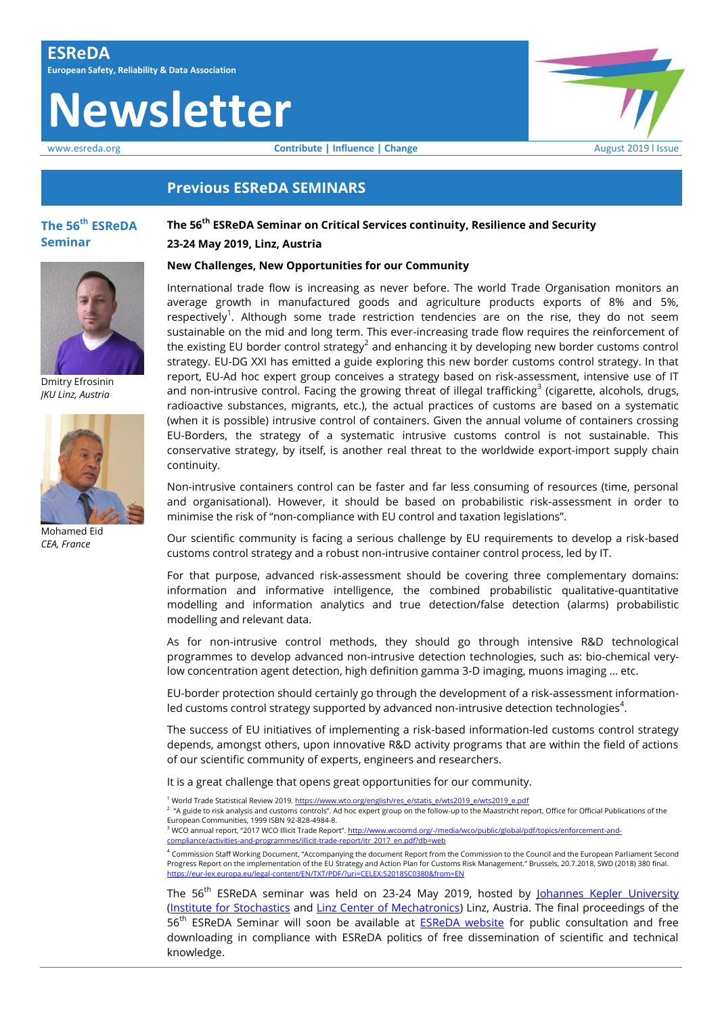# **Newsletter**

www.esreda.org **Contribute | Influence | Change Change** August 2019 l Issue

# **Previous ESReDA SEMINARS**

# **The 56 th ESReDA Seminar**



#### **New Challenges, New Opportunities for our Community**

International trade flow is increasing as never before. The world Trade Organisation monitors an average growth in manufactured goods and agriculture products exports of 8% and 5%, respectively<sup>1</sup>. Although some trade restriction tendencies are on the rise, they do not seem sustainable on the mid and long term. This ever-increasing trade flow requires the reinforcement of the existing EU border control strategy<sup>2</sup> and enhancing it by developing new border customs control strategy. EU-DG XXI has emitted a guide exploring this new border customs control strategy. In that report, EU-Ad hoc expert group conceives a strategy based on risk-assessment, intensive use of IT and non-intrusive control. Facing the growing threat of illegal trafficking<sup>3</sup> (cigarette, alcohols, drugs, radioactive substances, migrants, etc.), the actual practices of customs are based on a systematic (when it is possible) intrusive control of containers. Given the annual volume of containers crossing EU-Borders, the strategy of a systematic intrusive customs control is not sustainable. This conservative strategy, by itself, is another real threat to the worldwide export-import supply chain continuity.

Non-intrusive containers control can be faster and far less consuming of resources (time, personal and organisational). However, it should be based on probabilistic risk-assessment in order to minimise the risk of "non-compliance with EU control and taxation legislations".

Our scientific community is facing a serious challenge by EU requirements to develop a risk-based customs control strategy and a robust non-intrusive container control process, led by IT.

For that purpose, advanced risk-assessment should be covering three complementary domains: information and informative intelligence, the combined probabilistic qualitative-quantitative modelling and information analytics and true detection/false detection (alarms) probabilistic modelling and relevant data.

As for non-intrusive control methods, they should go through intensive R&D technological programmes to develop advanced non-intrusive detection technologies, such as: bio-chemical verylow concentration agent detection, high definition gamma 3-D imaging, muons imaging … etc.

EU-border protection should certainly go through the development of a risk-assessment informationled customs control strategy supported by advanced non-intrusive detection technologies $^4$ .

The success of EU initiatives of implementing a risk-based information-led customs control strategy depends, amongst others, upon innovative R&D activity programs that are within the field of actions of our scientific community of experts, engineers and researchers.

It is a great challenge that opens great opportunities for our community.

<sup>1</sup> World Trade Statistical Review 2019. <u>https://www.wto.org/english/res\_e/statis\_e/wts2019\_e/wts2019\_e.pdf</u><br><sup>2</sup> "A guide to risk analysis and customs controls". Ad hoc expert group on the follow-up to the Maastricht repo

European Communities, 1999 ISBN 92-828-4984-8.

and published from the community of the United States of the product of the distribution of the distribution o<br><sup>3</sup> WCO annual report, "2017 WCO Illicit Trade Report". <u>http://www.wcoomd.org/-/media/wco/public/global/pdf/to</u> [compliance/activities-and-programmes/illicit-trade-report/itr\\_2017\\_en.pdf?db=web](http://www.wcoomd.org/-/media/wco/public/global/pdf/topics/enforcement-and-compliance/activities-and-programmes/illicit-trade-report/itr_2017_en.pdf?db=web)

4 Commission Staff Working Document, "Accompanying the document Report from the Commission to the Council and the European Parliament Second Progress Report on the implementation of the EU Strategy and Action Plan for Customs Risk Management." Brussels, 20.7.2018, SWD (2018) 380 final. <https://eur-lex.europa.eu/legal-content/EN/TXT/PDF/?uri=CELEX:52018SC0380&from=EN>

The 56<sup>th</sup> ESReDA seminar was held on 23-24 May 2019, hosted by [Johannes Kepler University](http://www.jku.at/) [\(Institute for Stochastics](http://www.jku.at/stochastik) and [Linz Center of Mechatronics\)](http://www.lcm.at/) Linz, Austria. The final proceedings of the 56<sup>th</sup> ESReDA Seminar will soon be available at **ESReDA website** for public consultation and free downloading in compliance with ESReDA politics of free dissemination of scientific and technical knowledge.



Dmitry Efrosinin *JKU Linz, Austria*



Mohamed Eid *CEA, France*

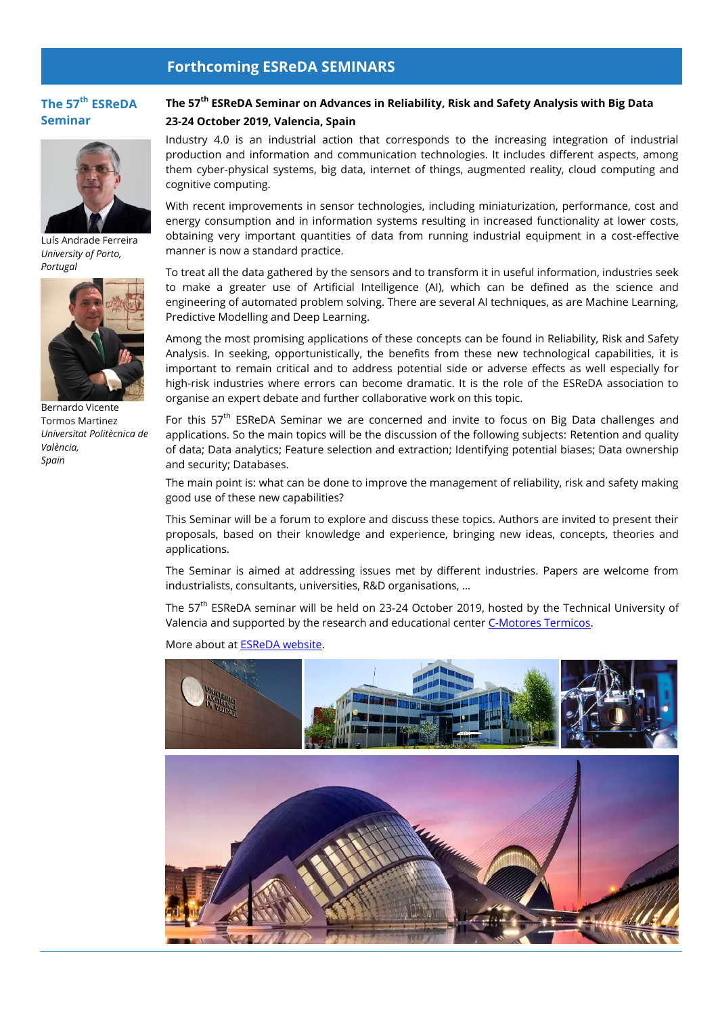# **Forthcoming ESReDA SEMINARS**

# **The 57 th ESReDA Seminar**



Luís Andrade Ferreira *University of Porto, Portugal*



Bernardo Vicente Tormos Martinez *Universitat Politècnica de València, Spain*

# **The 57th ESReDA Seminar on Advances in Reliability, Risk and Safety Analysis with Big Data 23-24 October 2019, Valencia, Spain**

Industry 4.0 is an industrial action that corresponds to the increasing integration of industrial production and information and communication technologies. It includes different aspects, among them cyber-physical systems, big data, internet of things, augmented reality, cloud computing and cognitive computing.

With recent improvements in sensor technologies, including miniaturization, performance, cost and energy consumption and in information systems resulting in increased functionality at lower costs, obtaining very important quantities of data from running industrial equipment in a cost-effective manner is now a standard practice.

To treat all the data gathered by the sensors and to transform it in useful information, industries seek to make a greater use of Artificial Intelligence (AI), which can be defined as the science and engineering of automated problem solving. There are several AI techniques, as are Machine Learning, Predictive Modelling and Deep Learning.

Among the most promising applications of these concepts can be found in Reliability, Risk and Safety Analysis. In seeking, opportunistically, the benefits from these new technological capabilities, it is important to remain critical and to address potential side or adverse effects as well especially for high-risk industries where errors can become dramatic. It is the role of the ESReDA association to organise an expert debate and further collaborative work on this topic.

For this 57<sup>th</sup> ESReDA Seminar we are concerned and invite to focus on Big Data challenges and applications. So the main topics will be the discussion of the following subjects: Retention and quality of data; Data analytics; Feature selection and extraction; Identifying potential biases; Data ownership and security; Databases.

The main point is: what can be done to improve the management of reliability, risk and safety making good use of these new capabilities?

This Seminar will be a forum to explore and discuss these topics. Authors are invited to present their proposals, based on their knowledge and experience, bringing new ideas, concepts, theories and applications.

The Seminar is aimed at addressing issues met by different industries. Papers are welcome from industrialists, consultants, universities, R&D organisations, …

The 57<sup>th</sup> ESReDA seminar will be held on 23-24 October 2019, hosted by the Technical University of Valencia and supported by the research and educational center [C-Motores Termicos.](https://www.cmt.upv.es/)

More about a[t ESReDA website.](https://www.esreda.org/event/57th-esreda-seminar/)

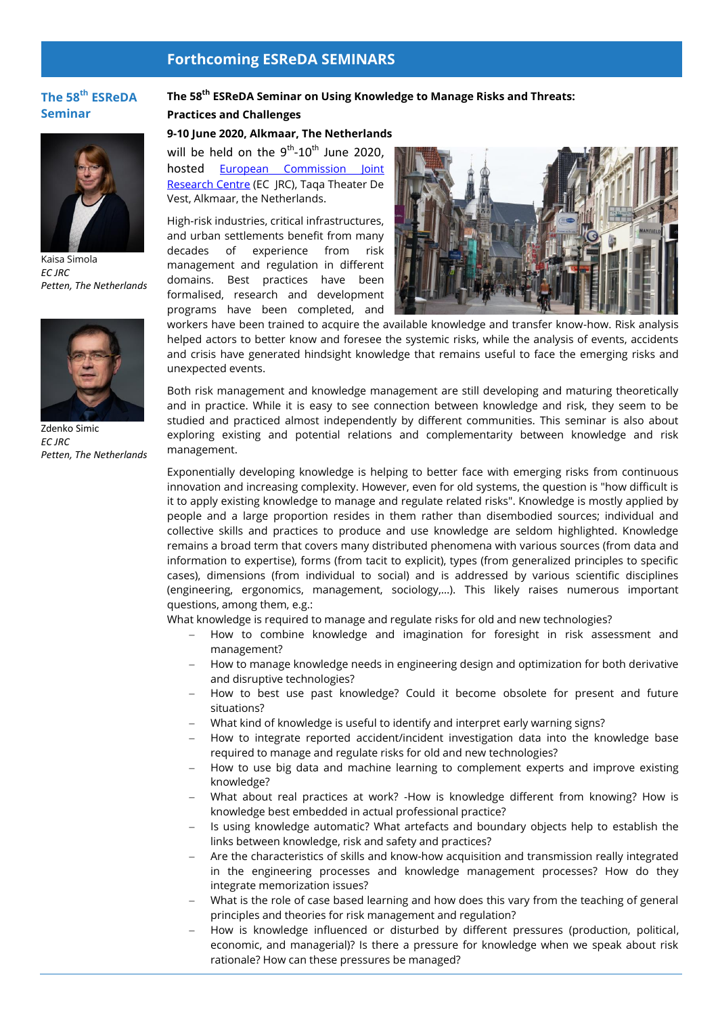# **Forthcoming ESReDA SEMINARS**

# **The 58 th ESReDA Seminar**



Kaisa Simola *EC JRC Petten, The Netherlands*



Zdenko Simic *EC JRC Petten, The Netherlands*

### **The 58 th ESReDA Seminar on Using Knowledge to Manage Risks and Threats:**

**Practices and Challenges**

#### **9-10 June 2020, Alkmaar, The Netherlands**

will be held on the  $9^{th}$ -10<sup>th</sup> June 2020, hosted [European Commission Joint](ec.europa.eu/jrc/en/about/jrc-in-brief)  [Research Centre](ec.europa.eu/jrc/en/about/jrc-in-brief) (EC JRC), Taqa Theater De Vest, Alkmaar, the Netherlands.

High-risk industries, critical infrastructures, and urban settlements benefit from many decades of experience from risk management and regulation in different domains. Best practices have been formalised, research and development programs have been completed, and



workers have been trained to acquire the available knowledge and transfer know-how. Risk analysis helped actors to better know and foresee the systemic risks, while the analysis of events, accidents and crisis have generated hindsight knowledge that remains useful to face the emerging risks and unexpected events.

Both risk management and knowledge management are still developing and maturing theoretically and in practice. While it is easy to see connection between knowledge and risk, they seem to be studied and practiced almost independently by different communities. This seminar is also about exploring existing and potential relations and complementarity between knowledge and risk management.

Exponentially developing knowledge is helping to better face with emerging risks from continuous innovation and increasing complexity. However, even for old systems, the question is "how difficult is it to apply existing knowledge to manage and regulate related risks". Knowledge is mostly applied by people and a large proportion resides in them rather than disembodied sources; individual and collective skills and practices to produce and use knowledge are seldom highlighted. Knowledge remains a broad term that covers many distributed phenomena with various sources (from data and information to expertise), forms (from tacit to explicit), types (from generalized principles to specific cases), dimensions (from individual to social) and is addressed by various scientific disciplines (engineering, ergonomics, management, sociology,…). This likely raises numerous important questions, among them, e.g.:

What knowledge is required to manage and regulate risks for old and new technologies?

- How to combine knowledge and imagination for foresight in risk assessment and management?
- How to manage knowledge needs in engineering design and optimization for both derivative and disruptive technologies?
- How to best use past knowledge? Could it become obsolete for present and future situations?
- What kind of knowledge is useful to identify and interpret early warning signs?
- How to integrate reported accident/incident investigation data into the knowledge base required to manage and regulate risks for old and new technologies?
- How to use big data and machine learning to complement experts and improve existing knowledge?
- What about real practices at work? -How is knowledge different from knowing? How is knowledge best embedded in actual professional practice?
- Is using knowledge automatic? What artefacts and boundary objects help to establish the links between knowledge, risk and safety and practices?
- Are the characteristics of skills and know-how acquisition and transmission really integrated in the engineering processes and knowledge management processes? How do they integrate memorization issues?
- What is the role of case based learning and how does this vary from the teaching of general principles and theories for risk management and regulation?
- How is knowledge influenced or disturbed by different pressures (production, political, economic, and managerial)? Is there a pressure for knowledge when we speak about risk rationale? How can these pressures be managed?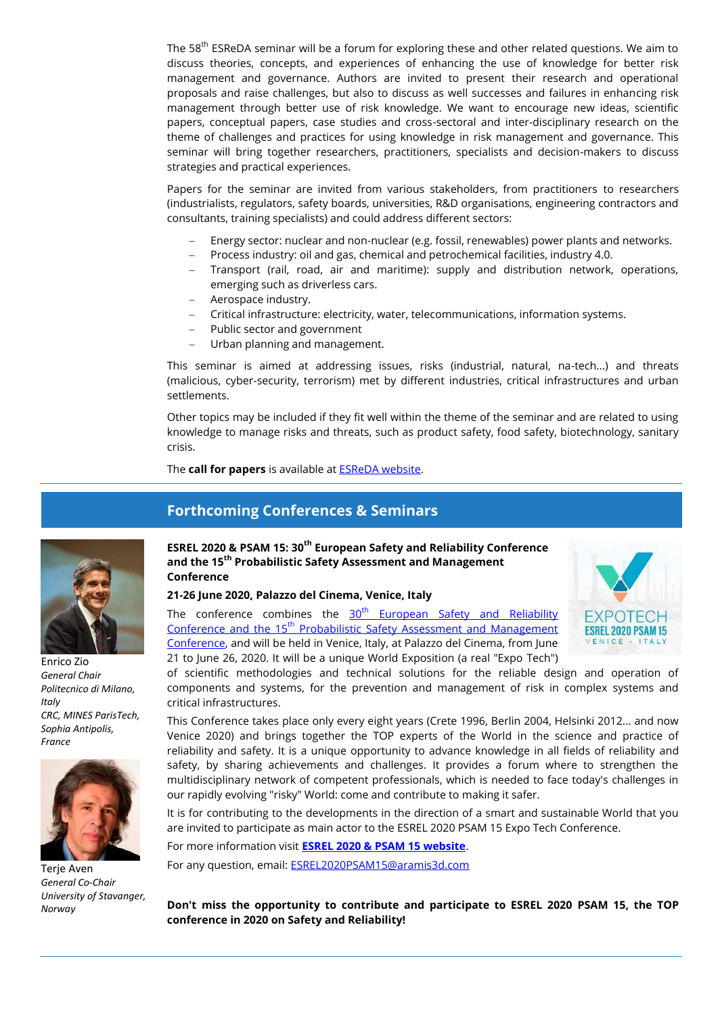The 58<sup>th</sup> ESReDA seminar will be a forum for exploring these and other related questions. We aim to discuss theories, concepts, and experiences of enhancing the use of knowledge for better risk management and governance. Authors are invited to present their research and operational proposals and raise challenges, but also to discuss as well successes and failures in enhancing risk management through better use of risk knowledge. We want to encourage new ideas, scientific papers, conceptual papers, case studies and cross-sectoral and inter-disciplinary research on the theme of challenges and practices for using knowledge in risk management and governance. This seminar will bring together researchers, practitioners, specialists and decision-makers to discuss strategies and practical experiences.

Papers for the seminar are invited from various stakeholders, from practitioners to researchers (industrialists, regulators, safety boards, universities, R&D organisations, engineering contractors and consultants, training specialists) and could address different sectors:

- Energy sector: nuclear and non-nuclear (e.g. fossil, renewables) power plants and networks.
- Process industry: oil and gas, chemical and petrochemical facilities, industry 4.0.
- Transport (rail, road, air and maritime): supply and distribution network, operations, emerging such as driverless cars.
- Aerospace industry.
- Critical infrastructure: electricity, water, telecommunications, information systems.
- Public sector and government
- Urban planning and management.

This seminar is aimed at addressing issues, risks (industrial, natural, na-tech...) and threats (malicious, cyber-security, terrorism) met by different industries, critical infrastructures and urban settlements.

Other topics may be included if they fit well within the theme of the seminar and are related to using knowledge to manage risks and threats, such as product safety, food safety, biotechnology, sanitary crisis.

The **call for papers** is available a[t ESReDA website.](https://www.esreda.org/event/58th-esreda-seminar/)

**Forthcoming Conferences & Seminars**

Enrico Zio *General Chair Politecnico di Milano, Italy CRC, MINES ParisTech, Sophia Antipolis, France*



**Terie Aven** *General Co-Chair University of Stavanger, Norway*

## **ESREL 2020 & PSAM 15: 30th European Safety and Reliability Conference and the 15th Probabilistic Safety Assessment and Management Conference**

**21-26 June 2020, Palazzo del Cinema, Venice, Italy** 

The conference combines the  $30<sup>th</sup>$  European Safety and Reliability Conference and the 15<sup>th</sup> Probabilistic Safety Assessment and Management [Conference,](http://www.esrel2020-psam15.org/index.html) and will be held in Venice, Italy, at Palazzo del Cinema, from June 21 to June 26, 2020. It will be a unique World Exposition (a real "Expo Tech")



of scientific methodologies and technical solutions for the reliable design and operation of components and systems, for the prevention and management of risk in complex systems and critical infrastructures.

This Conference takes place only every eight years (Crete 1996, Berlin 2004, Helsinki 2012... and now Venice 2020) and brings together the TOP experts of the World in the science and practice of reliability and safety. It is a unique opportunity to advance knowledge in all fields of reliability and safety, by sharing achievements and challenges. It provides a forum where to strengthen the multidisciplinary network of competent professionals, which is needed to face today's challenges in our rapidly evolving "risky" World: come and contribute to making it safer.

It is for contributing to the developments in the direction of a smart and sustainable World that you are invited to participate as main actor to the ESREL 2020 PSAM 15 Expo Tech Conference.

For more information visit **[ESREL 2020 & PSAM 15 website](http://www.esrel2020-psam15.org/)**. For any question, email: [ESREL2020PSAM15@aramis3d.com](mailto:ESREL2020PSAM15@aramis3d.com)

**Don't miss the opportunity to contribute and participate to ESREL 2020 PSAM 15, the TOP conference in 2020 on Safety and Reliability!**